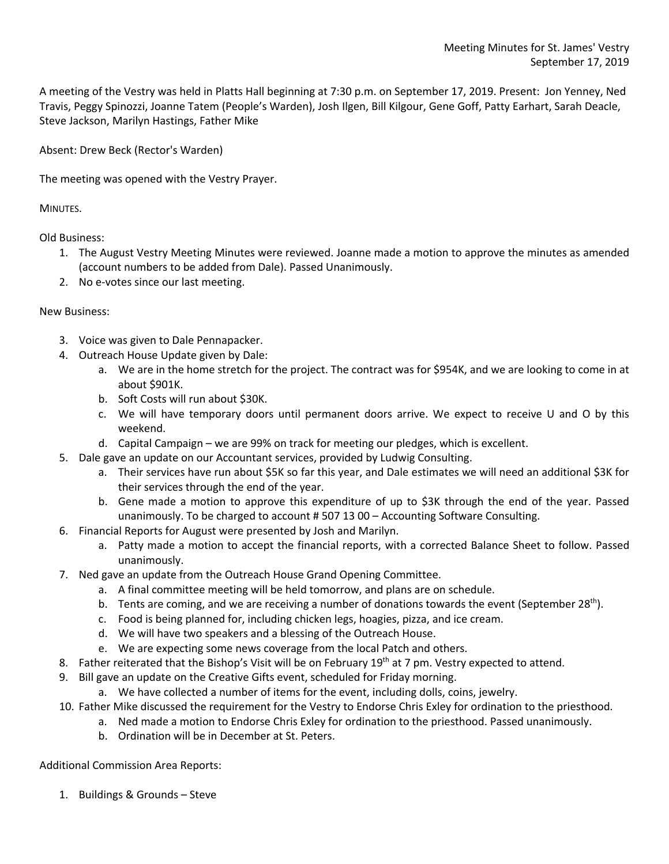A meeting of the Vestry was held in Platts Hall beginning at 7:30 p.m. on September 17, 2019. Present: Jon Yenney, Ned Travis, Peggy Spinozzi, Joanne Tatem (People's Warden), Josh Ilgen, Bill Kilgour, Gene Goff, Patty Earhart, Sarah Deacle, Steve Jackson, Marilyn Hastings, Father Mike

Absent: Drew Beck (Rector's Warden)

The meeting was opened with the Vestry Prayer.

MINUTES.

Old Business:

- 1. The August Vestry Meeting Minutes were reviewed. Joanne made a motion to approve the minutes as amended (account numbers to be added from Dale). Passed Unanimously.
- 2. No e-votes since our last meeting.

## New Business:

- 3. Voice was given to Dale Pennapacker.
- 4. Outreach House Update given by Dale:
	- a. We are in the home stretch for the project. The contract was for \$954K, and we are looking to come in at about \$901K.
	- b. Soft Costs will run about \$30K.
	- c. We will have temporary doors until permanent doors arrive. We expect to receive U and O by this weekend.
	- d. Capital Campaign we are 99% on track for meeting our pledges, which is excellent.
- 5. Dale gave an update on our Accountant services, provided by Ludwig Consulting.
	- a. Their services have run about \$5K so far this year, and Dale estimates we will need an additional \$3K for their services through the end of the year.
	- b. Gene made a motion to approve this expenditure of up to \$3K through the end of the year. Passed unanimously. To be charged to account # 507 13 00 – Accounting Software Consulting.
- 6. Financial Reports for August were presented by Josh and Marilyn.
	- a. Patty made a motion to accept the financial reports, with a corrected Balance Sheet to follow. Passed unanimously.
- 7. Ned gave an update from the Outreach House Grand Opening Committee.
	- a. A final committee meeting will be held tomorrow, and plans are on schedule.
	- b. Tents are coming, and we are receiving a number of donations towards the event (September 28<sup>th</sup>).
	- c. Food is being planned for, including chicken legs, hoagies, pizza, and ice cream.
	- d. We will have two speakers and a blessing of the Outreach House.
	- e. We are expecting some news coverage from the local Patch and others.
- 8. Father reiterated that the Bishop's Visit will be on February 19<sup>th</sup> at 7 pm. Vestry expected to attend.
- 9. Bill gave an update on the Creative Gifts event, scheduled for Friday morning.
	- a. We have collected a number of items for the event, including dolls, coins, jewelry.
- 10. Father Mike discussed the requirement for the Vestry to Endorse Chris Exley for ordination to the priesthood.
	- a. Ned made a motion to Endorse Chris Exley for ordination to the priesthood. Passed unanimously.
	- b. Ordination will be in December at St. Peters.

## Additional Commission Area Reports:

1. Buildings & Grounds – Steve